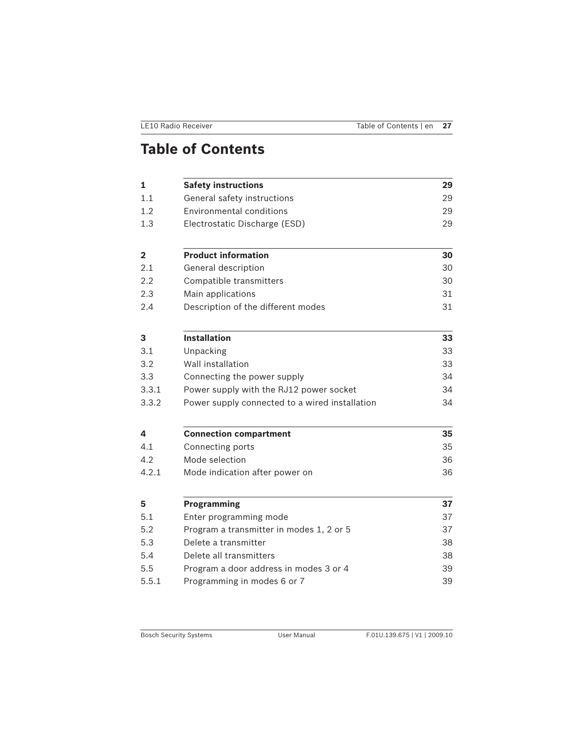| <b>LE10 Radio Receiver</b> | Table of Contents   en 27 |  |
|----------------------------|---------------------------|--|
|                            |                           |  |

# **Table of Contents**

| 1              | <b>Safety instructions</b>                     | 29 |  |
|----------------|------------------------------------------------|----|--|
| 1.1            | General safety instructions                    | 29 |  |
| 1.2            | Environmental conditions                       |    |  |
| 1.3            | Electrostatic Discharge (ESD)                  | 29 |  |
| $\overline{2}$ | <b>Product information</b>                     | 30 |  |
| 2.1            | General description                            | 30 |  |
| 2.2            | Compatible transmitters                        | 30 |  |
| 2.3            | Main applications                              | 31 |  |
| 2.4            | Description of the different modes             | 31 |  |
| 3              | <b>Installation</b>                            | 33 |  |
| 3.1            | Unpacking                                      | 33 |  |
| 3.2            | Wall installation                              | 33 |  |
| 3.3            | Connecting the power supply                    | 34 |  |
| 3.3.1          | Power supply with the RJ12 power socket        | 34 |  |
| 3.3.2          | Power supply connected to a wired installation | 34 |  |
| 4              | <b>Connection compartment</b>                  | 35 |  |
| 4.1            | Connecting ports                               | 35 |  |
| 4.2            | Mode selection                                 | 36 |  |
| 4.2.1          | Mode indication after power on                 | 36 |  |
| 5              | Programming                                    | 37 |  |
| 5.1            | Enter programming mode                         | 37 |  |
| 5.2            | Program a transmitter in modes 1, 2 or 5       |    |  |
| 5.3            | Delete a transmitter                           | 38 |  |
| 5.4            | Delete all transmitters                        | 38 |  |
| 5.5            | Program a door address in modes 3 or 4         | 39 |  |
| 5.5.1          | Programming in modes 6 or 7                    |    |  |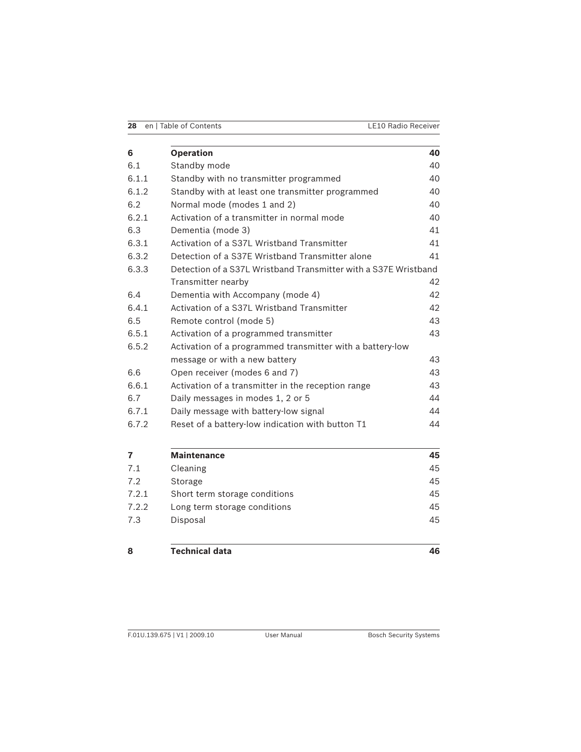| 28 en   Table of Contents | <b>LE10 Radio Receiver</b> |
|---------------------------|----------------------------|

| 6                       | <b>Operation</b>                                                | 40             |  |
|-------------------------|-----------------------------------------------------------------|----------------|--|
| 6.1                     | Standby mode                                                    | 40             |  |
| 6.1.1                   | Standby with no transmitter programmed                          |                |  |
| 6.1.2                   | Standby with at least one transmitter programmed                | 40             |  |
| 6.2                     | Normal mode (modes 1 and 2)                                     | 40             |  |
| 6.2.1                   | Activation of a transmitter in normal mode                      | 40             |  |
| 6.3                     | Dementia (mode 3)                                               | 41             |  |
| 6.3.1                   | Activation of a S371 Wristband Transmitter                      | 41             |  |
| 6.3.2                   | Detection of a S37E Wristband Transmitter alone                 | 41             |  |
| 6.3.3                   | Detection of a S37L Wristband Transmitter with a S37E Wristband |                |  |
|                         | Transmitter nearby                                              | 42             |  |
| 6.4                     | Dementia with Accompany (mode 4)                                | 42             |  |
| 6.4.1                   | Activation of a S37L Wristband Transmitter                      |                |  |
| 6.5                     | Remote control (mode 5)                                         | 43             |  |
| 6.5.1                   | Activation of a programmed transmitter                          | 43             |  |
| 6.5.2                   | Activation of a programmed transmitter with a battery-low       |                |  |
|                         | message or with a new battery                                   | 43             |  |
| 6.6                     | Open receiver (modes 6 and 7)                                   | 43             |  |
| 6.6.1                   | Activation of a transmitter in the reception range              | 43             |  |
| 6.7                     | Daily messages in modes 1, 2 or 5                               | 44             |  |
| 6.7.1                   | Daily message with battery-low signal                           | 44             |  |
| 6.7.2                   | Reset of a battery-low indication with button T1                | 44             |  |
| $\overline{\mathbf{z}}$ | <b>Maintenance</b>                                              | 45             |  |
| 7.1                     | Cleaning                                                        | 45             |  |
| ר ד                     | $C + \alpha$                                                    | $\Lambda \Box$ |  |

| 7.1   | Cleaning                      | 45 |
|-------|-------------------------------|----|
| 7.2   | Storage                       | 45 |
| 7.2.1 | Short term storage conditions | 45 |
| 7.2.2 | Long term storage conditions  | 45 |
| 7.3   | Disposal                      | 45 |
|       |                               |    |

### **8 Technical data 46**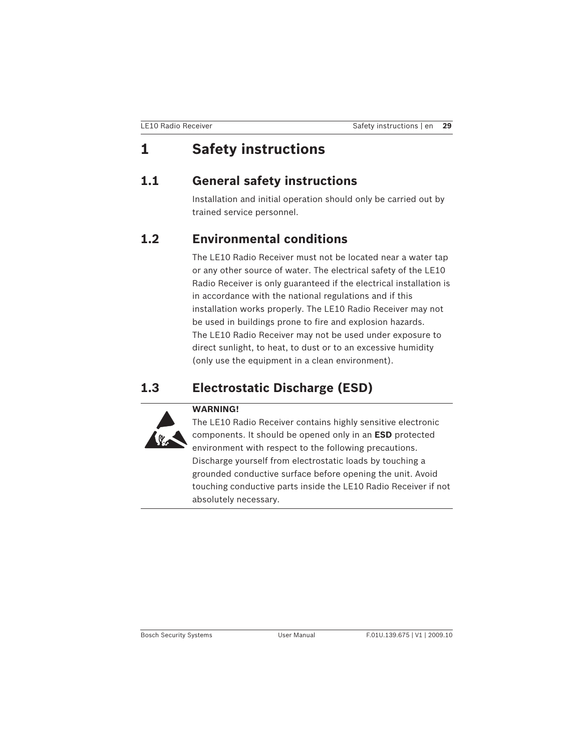# **1 Safety instructions**

# **1.1 General safety instructions**

Installation and initial operation should only be carried out by trained service personnel.

# **1.2 Environmental conditions**

The LE10 Radio Receiver must not be located near a water tap or any other source of water. The electrical safety of the LE10 Radio Receiver is only guaranteed if the electrical installation is in accordance with the national regulations and if this installation works properly. The LE10 Radio Receiver may not be used in buildings prone to fire and explosion hazards. The LE10 Radio Receiver may not be used under exposure to direct sunlight, to heat, to dust or to an excessive humidity (only use the equipment in a clean environment).

# **1.3 Electrostatic Discharge (ESD)**



The LE10 Radio Receiver contains highly sensitive electronic components. It should be opened only in an **ESD** protected environment with respect to the following precautions. Discharge yourself from electrostatic loads by touching a grounded conductive surface before opening the unit. Avoid touching conductive parts inside the LE10 Radio Receiver if not absolutely necessary.

Bosch Security Systems User Manual F.01U.139.675 | V1 | 2009.10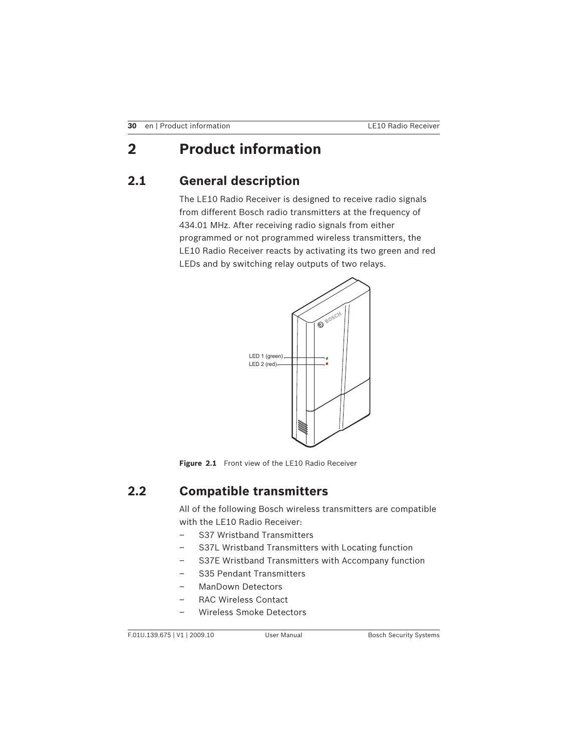# **2 Product information**

# **2.1 General description**

The LE10 Radio Receiver is designed to receive radio signals from different Bosch radio transmitters at the frequency of 434.01 MHz. After receiving radio signals from either programmed or not programmed wireless transmitters, the LE10 Radio Receiver reacts by activating its two green and red LEDs and by switching relay outputs of two relays.



Figure 2.1 Front view of the LE10 Radio Receiver

# **2.2 Compatible transmitters**

All of the following Bosch wireless transmitters are compatible with the LE10 Radio Receiver:

- S37 Wristband Transmitters
- S37L Wristband Transmitters with Locating function
- S37E Wristband Transmitters with Accompany function
- S35 Pendant Transmitters
- ManDown Detectors
- RAC Wireless Contact
- Wireless Smoke Detectors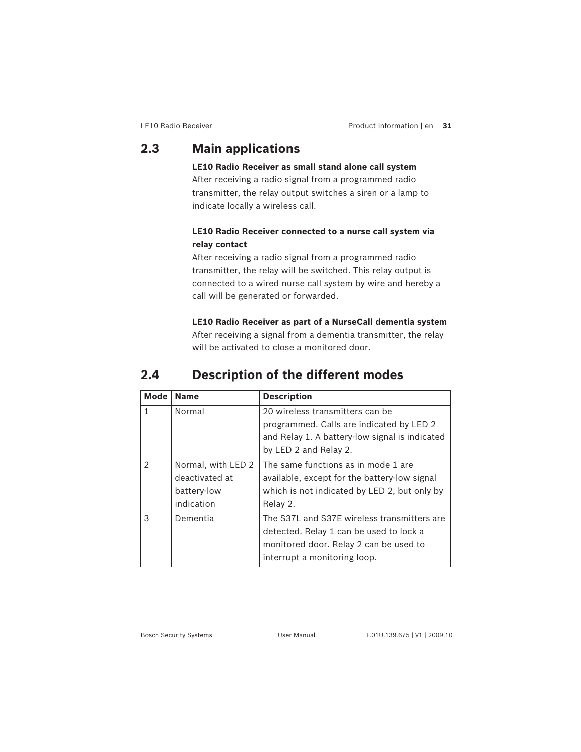# **2.3 Main applications**

**LE10 Radio Receiver as small stand alone call system** After receiving a radio signal from a programmed radio transmitter, the relay output switches a siren or a lamp to indicate locally a wireless call.

### **LE10 Radio Receiver connected to a nurse call system via relay contact**

After receiving a radio signal from a programmed radio transmitter, the relay will be switched. This relay output is connected to a wired nurse call system by wire and hereby a call will be generated or forwarded.

**LE10 Radio Receiver as part of a NurseCall dementia system** After receiving a signal from a dementia transmitter, the relay will be activated to close a monitored door.

# **2.4 Description of the different modes**

| <b>Mode</b>    | <b>Name</b>        | <b>Description</b>                             |  |
|----------------|--------------------|------------------------------------------------|--|
| 1              | Normal             | 20 wireless transmitters can be                |  |
|                |                    | programmed. Calls are indicated by LED 2       |  |
|                |                    | and Relay 1. A battery-low signal is indicated |  |
|                |                    | by LED 2 and Relay 2.                          |  |
| $\mathfrak{D}$ | Normal, with LED 2 | The same functions as in mode 1 are            |  |
|                | deactivated at     | available, except for the battery-low signal   |  |
|                | battery-low        | which is not indicated by LED 2, but only by   |  |
|                | indication         | Relay 2.                                       |  |
| $\mathcal{R}$  | Dementia           | The S37L and S37E wireless transmitters are    |  |
|                |                    | detected. Relay 1 can be used to lock a        |  |
|                |                    | monitored door. Relay 2 can be used to         |  |
|                |                    | interrupt a monitoring loop.                   |  |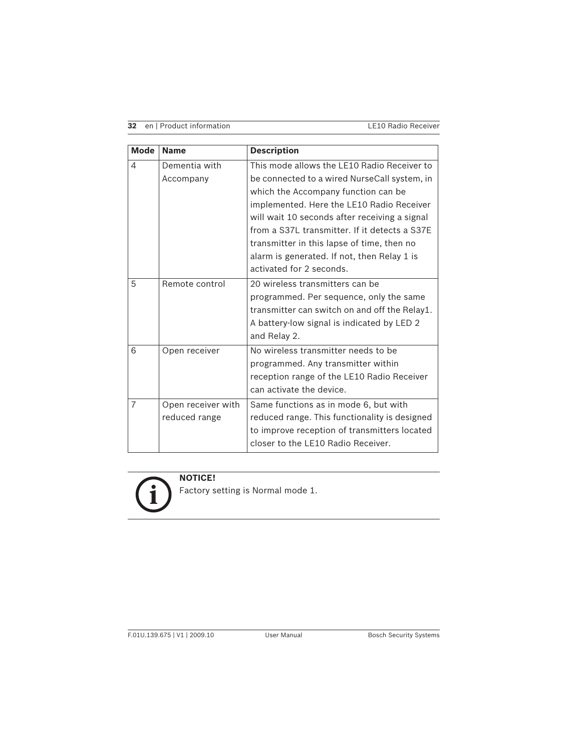**32** en | Product information LE10 Radio Receiver

| <b>Mode</b>    | <b>Name</b>                         | <b>Description</b>                                                                                                                                                                                                                                                                                                                                                                                         |
|----------------|-------------------------------------|------------------------------------------------------------------------------------------------------------------------------------------------------------------------------------------------------------------------------------------------------------------------------------------------------------------------------------------------------------------------------------------------------------|
| 4              | Dementia with<br>Accompany          | This mode allows the LE10 Radio Receiver to<br>be connected to a wired NurseCall system, in<br>which the Accompany function can be<br>implemented. Here the LE10 Radio Receiver<br>will wait 10 seconds after receiving a signal<br>from a S37L transmitter. If it detects a S37E<br>transmitter in this lapse of time, then no<br>alarm is generated. If not, then Relay 1 is<br>activated for 2 seconds. |
| 5              | Remote control                      | 20 wireless transmitters can be<br>programmed. Per sequence, only the same<br>transmitter can switch on and off the Relay1.<br>A battery-low signal is indicated by LED 2<br>and Relay 2.                                                                                                                                                                                                                  |
| 6              | Open receiver                       | No wireless transmitter needs to be<br>programmed. Any transmitter within<br>reception range of the LE10 Radio Receiver<br>can activate the device.                                                                                                                                                                                                                                                        |
| $\overline{7}$ | Open receiver with<br>reduced range | Same functions as in mode 6, but with<br>reduced range. This functionality is designed<br>to improve reception of transmitters located<br>closer to the LE10 Radio Receiver.                                                                                                                                                                                                                               |

 $\mathbf{i}$ 

**NOTICE!** 

Factory setting is Normal mode 1.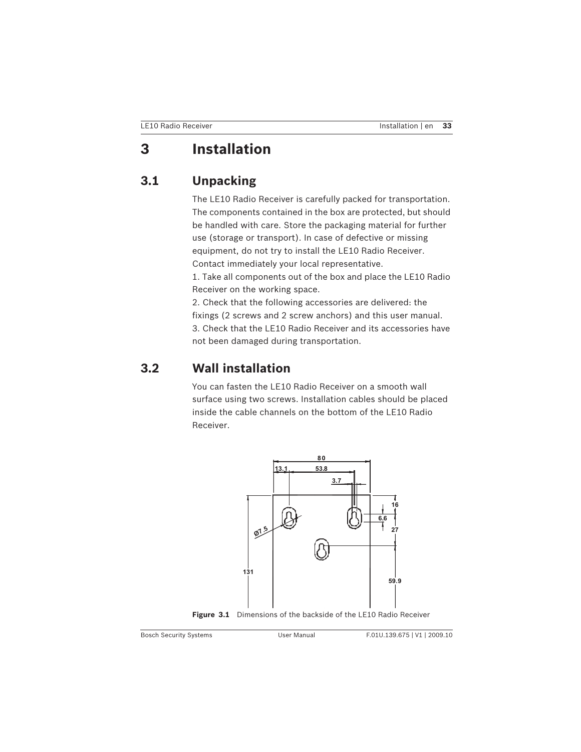# **3 Installation**

# **3.1 Unpacking**

The LE10 Radio Receiver is carefully packed for transportation. The components contained in the box are protected, but should be handled with care. Store the packaging material for further use (storage or transport). In case of defective or missing equipment, do not try to install the LE10 Radio Receiver. Contact immediately your local representative. 1. Take all components out of the box and place the LE10 Radio

Receiver on the working space. 2. Check that the following accessories are delivered: the fixings (2 screws and 2 screw anchors) and this user manual. 3. Check that the LE10 Radio Receiver and its accessories have not been damaged during transportation.

# **3.2 Wall installation**

You can fasten the LE10 Radio Receiver on a smooth wall surface using two screws. Installation cables should be placed inside the cable channels on the bottom of the LE10 Radio Receiver.



**Figure 3.1** Dimensions of the backside of the LE10 Radio Receiver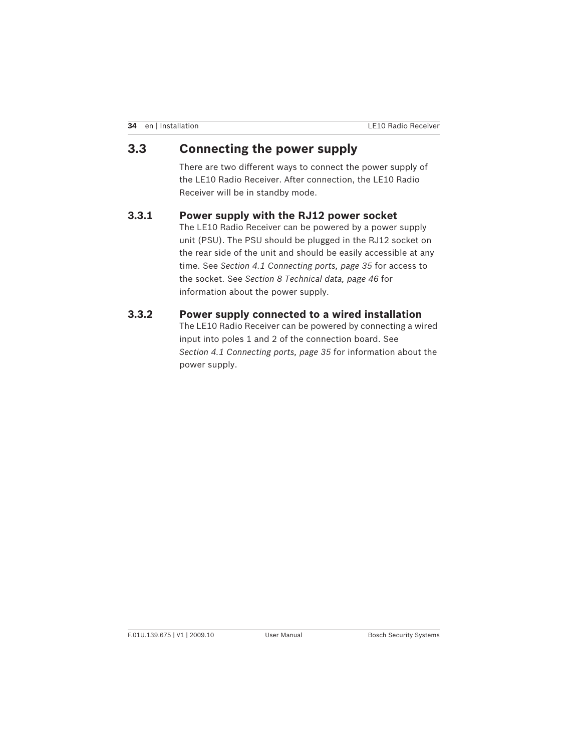# **3.3 Connecting the power supply**

There are two different ways to connect the power supply of the LE10 Radio Receiver. After connection, the LE10 Radio Receiver will be in standby mode.

### **3.3.1 Power supply with the RJ12 power socket**

The LE10 Radio Receiver can be powered by a power supply unit (PSU). The PSU should be plugged in the RJ12 socket on the rear side of the unit and should be easily accessible at any time. See *Section 4.1 Connecting ports, page 35* for access to the socket. See *Section 8 Technical data, page 46* for information about the power supply.

### **3.3.2 Power supply connected to a wired installation**

The LE10 Radio Receiver can be powered by connecting a wired input into poles 1 and 2 of the connection board. See *Section 4.1 Connecting ports, page 35* for information about the power supply.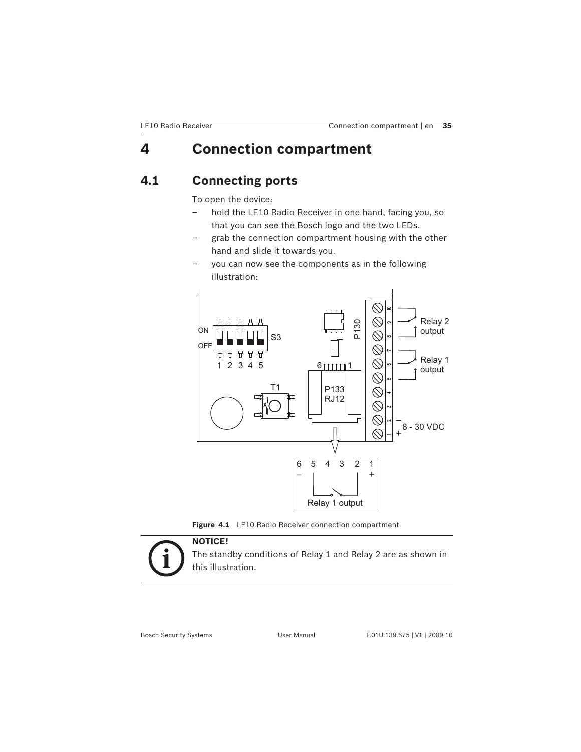# **4 Connection compartment**

# **4.1 Connecting ports**

To open the device:

- hold the LE10 Radio Receiver in one hand, facing you, so that you can see the Bosch logo and the two LEDs.
- grab the connection compartment housing with the other hand and slide it towards you.
- you can now see the components as in the following illustration:







The standby conditions of Relay 1 and Relay 2 are as shown in this illustration.

Bosch Security Systems User Manual F.01U.139.675 | V1 | 2009.10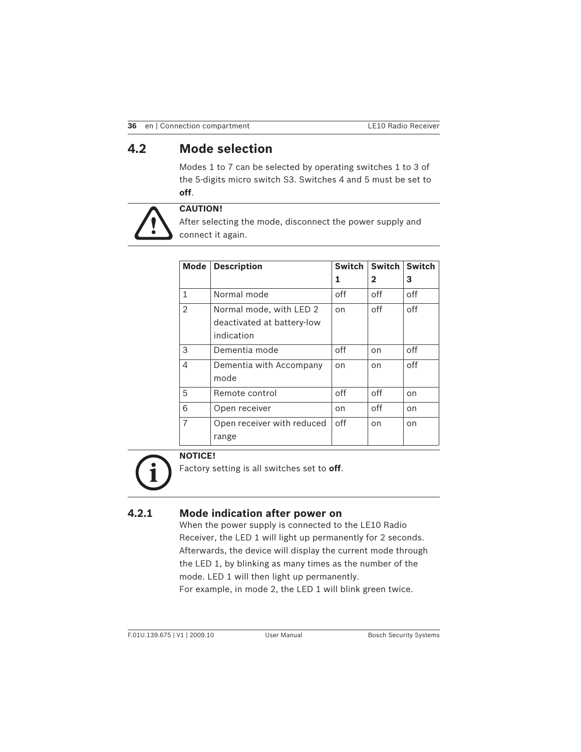# **4.2 Mode selection**

Modes 1 to 7 can be selected by operating switches 1 to 3 of the 5-digits micro switch S3. Switches 4 and 5 must be set to **off**.



## **CAUTION!**

After selecting the mode, disconnect the power supply and connect it again.

| <b>Mode</b>    | <b>Description</b>                                                  | <b>Switch</b> | <b>Switch</b> | <b>Switch</b> |
|----------------|---------------------------------------------------------------------|---------------|---------------|---------------|
|                |                                                                     | 1             | $\mathbf{2}$  | З             |
| 1              | Normal mode                                                         | off           | off           | off           |
| $\overline{2}$ | Normal mode, with LED 2<br>deactivated at battery-low<br>indication | on            | off           | off           |
| 3              | Dementia mode                                                       | off           | on            | off           |
| $\overline{4}$ | Dementia with Accompany<br>mode                                     | on            | on            | off           |
| 5              | Remote control                                                      | off           | off           | on            |
| 6              | Open receiver                                                       | on            | off           | on            |
| $\overline{7}$ | Open receiver with reduced<br>range                                 | off           | on            | on            |

# **NOTICE!**

Factory setting is all switches set to **off**.

## **4.2.1 Mode indication after power on**

When the power supply is connected to the LE10 Radio Receiver, the LED 1 will light up permanently for 2 seconds. Afterwards, the device will display the current mode through the LED 1, by blinking as many times as the number of the mode. LED 1 will then light up permanently. For example, in mode 2, the LED 1 will blink green twice.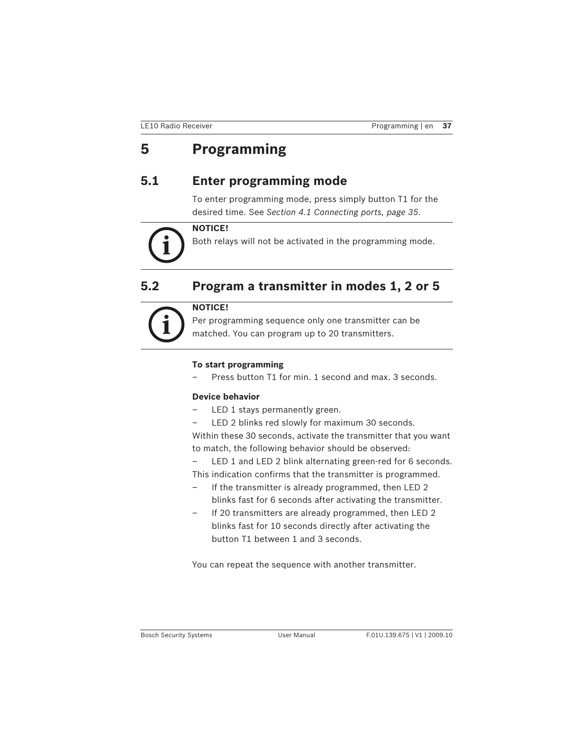# **5 Programming**

# **5.1 Enter programming mode**

To enter programming mode, press simply button T1 for the desired time. See *Section 4.1 Connecting ports, page 35*.

### **NOTICE!**

Both relays will not be activated in the programming mode.

# **5.2 Program a transmitter in modes 1, 2 or 5**

**NOTICE!** 

Per programming sequence only one transmitter can be matched. You can program up to 20 transmitters.

#### **To start programming**

– Press button T1 for min. 1 second and max. 3 seconds.

#### **Device behavior**

- LED 1 stays permanently green.
- LED 2 blinks red slowly for maximum 30 seconds.

Within these 30 seconds, activate the transmitter that you want to match, the following behavior should be observed:

LED 1 and LED 2 blink alternating green-red for 6 seconds. This indication confirms that the transmitter is programmed.

- If the transmitter is already programmed, then LED 2 blinks fast for 6 seconds after activating the transmitter.
- If 20 transmitters are already programmed, then LED 2 blinks fast for 10 seconds directly after activating the button T1 between 1 and 3 seconds.

You can repeat the sequence with another transmitter.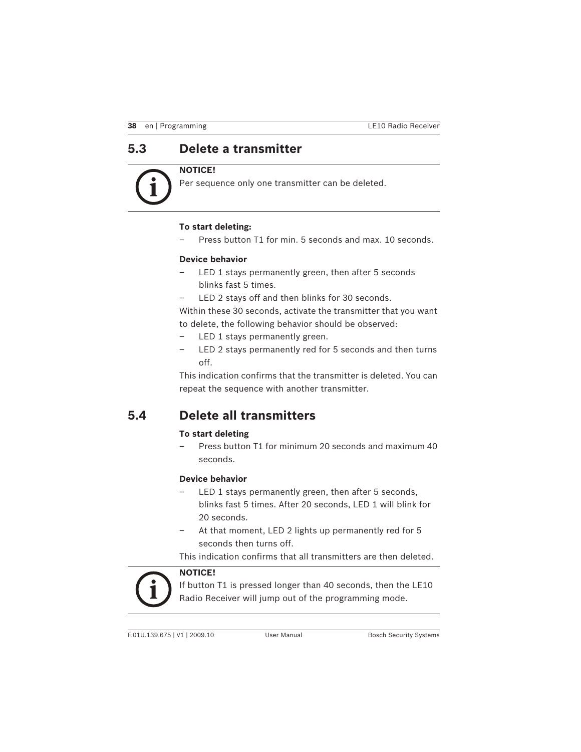# **5.3 Delete a transmitter**

### **NOTICE!**

Per sequence only one transmitter can be deleted.

#### **To start deleting:**

Press button T1 for min. 5 seconds and max. 10 seconds.

#### **Device behavior**

- LED 1 stays permanently green, then after 5 seconds blinks fast 5 times.
- LED 2 stays off and then blinks for 30 seconds.

Within these 30 seconds, activate the transmitter that you want to delete, the following behavior should be observed:

- LED 1 stays permanently green.
- LED 2 stays permanently red for 5 seconds and then turns off.

This indication confirms that the transmitter is deleted. You can repeat the sequence with another transmitter.

## **5.4 Delete all transmitters**

#### **To start deleting**

– Press button T1 for minimum 20 seconds and maximum 40 seconds.

#### **Device behavior**

- LED 1 stays permanently green, then after 5 seconds, blinks fast 5 times. After 20 seconds, LED 1 will blink for 20 seconds.
- At that moment, LED 2 lights up permanently red for 5 seconds then turns off.

This indication confirms that all transmitters are then deleted.



**NOTICE!** 

If button T1 is pressed longer than 40 seconds, then the LE10 Radio Receiver will jump out of the programming mode.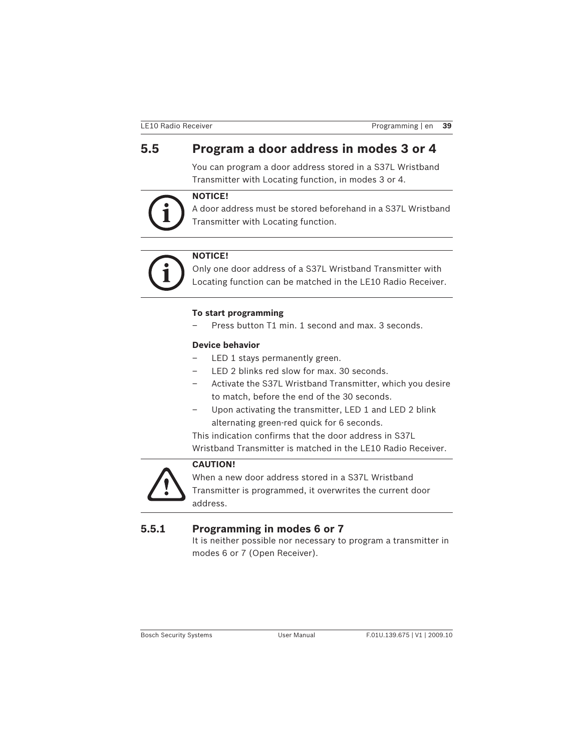# **5.5 Program a door address in modes 3 or 4**

You can program a door address stored in a S37L Wristband Transmitter with Locating function, in modes 3 or 4.

### **NOTICE!**

A door address must be stored beforehand in a S37L Wristband Transmitter with Locating function.



### **NOTICE!**

Only one door address of a S37L Wristband Transmitter with Locating function can be matched in the LE10 Radio Receiver.

#### **To start programming**

– Press button T1 min. 1 second and max. 3 seconds.

#### **Device behavior**

- LED 1 stays permanently green.
- LED 2 blinks red slow for max. 30 seconds.
- Activate the S37L Wristband Transmitter, which you desire to match, before the end of the 30 seconds.
- Upon activating the transmitter, LED 1 and LED 2 blink alternating green-red quick for 6 seconds.

This indication confirms that the door address in S37L

Wristband Transmitter is matched in the LE10 Radio Receiver.



### **CAUTION!**

When a new door address stored in a S37L Wristband Transmitter is programmed, it overwrites the current door address.

### **5.5.1 Programming in modes 6 or 7**

It is neither possible nor necessary to program a transmitter in modes 6 or 7 (Open Receiver).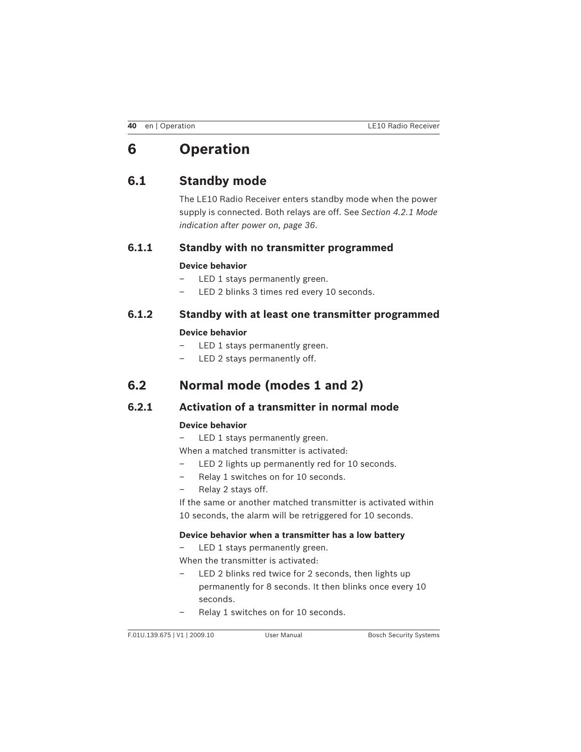# **6 Operation**

# **6.1 Standby mode**

The LE10 Radio Receiver enters standby mode when the power supply is connected. Both relays are off. See *Section 4.2.1 Mode indication after power on, page 36*.

### **6.1.1 Standby with no transmitter programmed**

#### **Device behavior**

- LED 1 stays permanently green.
- LED 2 blinks 3 times red every 10 seconds.

## **6.1.2 Standby with at least one transmitter programmed**

#### **Device behavior**

- LED 1 stays permanently green.
- LED 2 stays permanently off.

## **6.2 Normal mode (modes 1 and 2)**

### **6.2.1 Activation of a transmitter in normal mode**

#### **Device behavior**

– LED 1 stays permanently green.

- When a matched transmitter is activated:
- LED 2 lights up permanently red for 10 seconds.
- Relay 1 switches on for 10 seconds.
- Relay 2 stays off.
- If the same or another matched transmitter is activated within 10 seconds, the alarm will be retriggered for 10 seconds.

#### **Device behavior when a transmitter has a low battery**

- LED 1 stays permanently green.
- When the transmitter is activated:
- LED 2 blinks red twice for 2 seconds, then lights up permanently for 8 seconds. It then blinks once every 10 seconds.
- Relay 1 switches on for 10 seconds.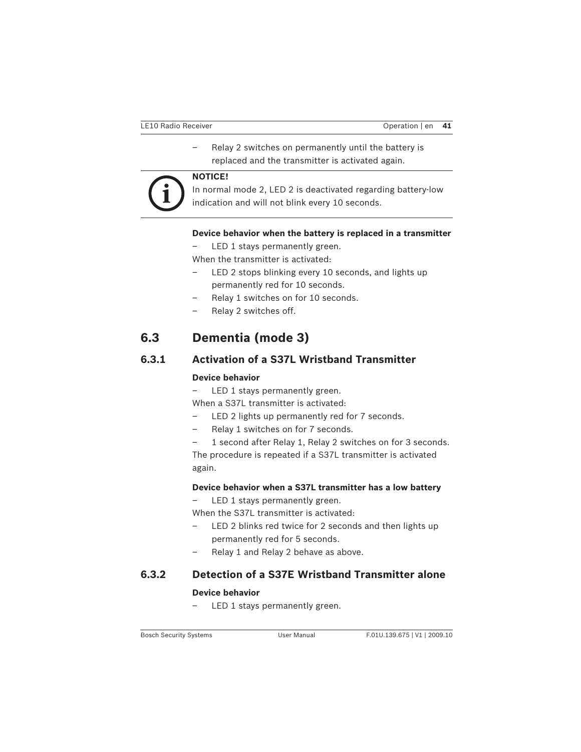– Relay 2 switches on permanently until the battery is replaced and the transmitter is activated again.



#### **NOTICE!**

In normal mode 2, LED 2 is deactivated regarding battery-low indication and will not blink every 10 seconds.

#### **Device behavior when the battery is replaced in a transmitter**

LED 1 stays permanently green.

When the transmitter is activated:

- LED 2 stops blinking every 10 seconds, and lights up permanently red for 10 seconds.
- Relay 1 switches on for 10 seconds.
- Relay 2 switches off.

# **6.3 Dementia (mode 3)**

### **6.3.1 Activation of a S37L Wristband Transmitter**

#### **Device behavior**

– LED 1 stays permanently green.

When a S37L transmitter is activated:

- LED 2 lights up permanently red for 7 seconds.
- Relay 1 switches on for 7 seconds.

1 second after Relay 1, Relay 2 switches on for 3 seconds. The procedure is repeated if a S37L transmitter is activated again.

#### **Device behavior when a S37L transmitter has a low battery**

LED 1 stays permanently green.

When the S37L transmitter is activated:

- LED 2 blinks red twice for 2 seconds and then lights up permanently red for 5 seconds.
- Relay 1 and Relay 2 behave as above.

### **6.3.2 Detection of a S37E Wristband Transmitter alone**

#### **Device behavior**

LED 1 stays permanently green.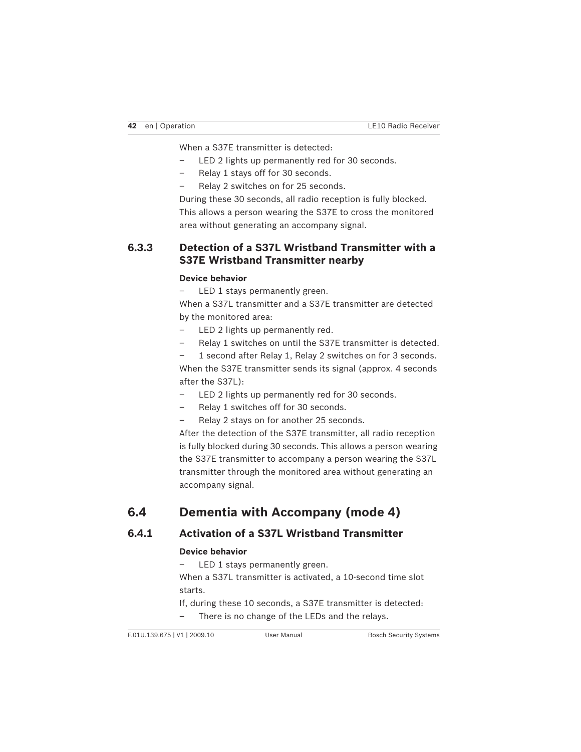When a S37E transmitter is detected:

- LED 2 lights up permanently red for 30 seconds.
- Relay 1 stays off for 30 seconds.
- Relay 2 switches on for 25 seconds.

During these 30 seconds, all radio reception is fully blocked. This allows a person wearing the S37E to cross the monitored area without generating an accompany signal.

### **6.3.3 Detection of a S37L Wristband Transmitter with a S37E Wristband Transmitter nearby**

#### **Device behavior**

LED 1 stays permanently green.

When a S37L transmitter and a S37E transmitter are detected by the monitored area:

- LED 2 lights up permanently red.
- Relay 1 switches on until the S37E transmitter is detected.

1 second after Relay 1, Relay 2 switches on for 3 seconds.

When the S37E transmitter sends its signal (approx. 4 seconds after the S37L):

- LED 2 lights up permanently red for 30 seconds.
- Relay 1 switches off for 30 seconds.
- Relay 2 stays on for another 25 seconds.

After the detection of the S37E transmitter, all radio reception is fully blocked during 30 seconds. This allows a person wearing the S37E transmitter to accompany a person wearing the S37L transmitter through the monitored area without generating an accompany signal.

# **6.4 Dementia with Accompany (mode 4)**

## **6.4.1 Activation of a S37L Wristband Transmitter**

#### **Device behavior**

– LED 1 stays permanently green.

When a S37L transmitter is activated, a 10-second time slot starts.

If, during these 10 seconds, a S37E transmitter is detected:

– There is no change of the LEDs and the relays.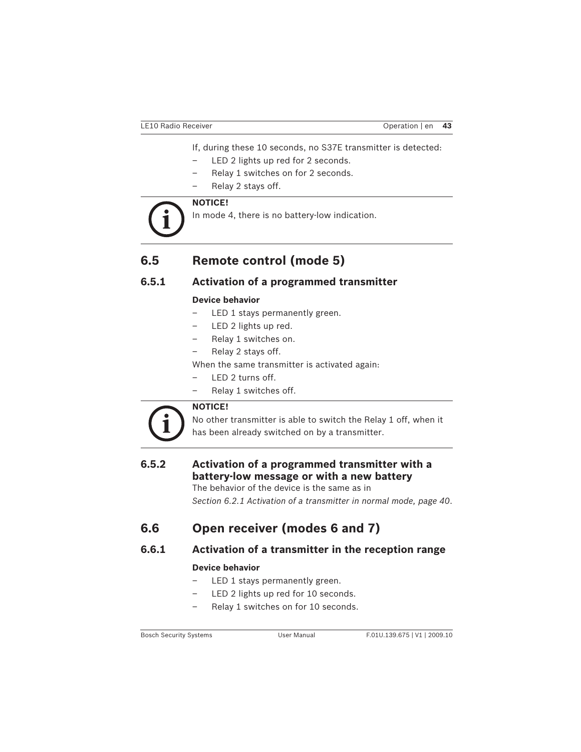If, during these 10 seconds, no S37E transmitter is detected:

- LED 2 lights up red for 2 seconds.
- Relay 1 switches on for 2 seconds.
- Relay 2 stays off.

### **NOTICE!**

In mode 4, there is no battery-low indication.

# **6.5 Remote control (mode 5)**

## **6.5.1 Activation of a programmed transmitter**

#### **Device behavior**

- LED 1 stays permanently green.
- LED 2 lights up red.
- Relay 1 switches on.
- Relay 2 stays off.

When the same transmitter is activated again:

- LED 2 turns off.
- Relay 1 switches off.



### **NOTICE!**

No other transmitter is able to switch the Relay 1 off, when it has been already switched on by a transmitter.

## **6.5.2 Activation of a programmed transmitter with a battery-low message or with a new battery**

The behavior of the device is the same as in *Section 6.2.1 Activation of a transmitter in normal mode, page 40*.

# **6.6 Open receiver (modes 6 and 7)**

### **6.6.1 Activation of a transmitter in the reception range**

#### **Device behavior**

- LED 1 stays permanently green.
- LED 2 lights up red for 10 seconds.
- Relay 1 switches on for 10 seconds.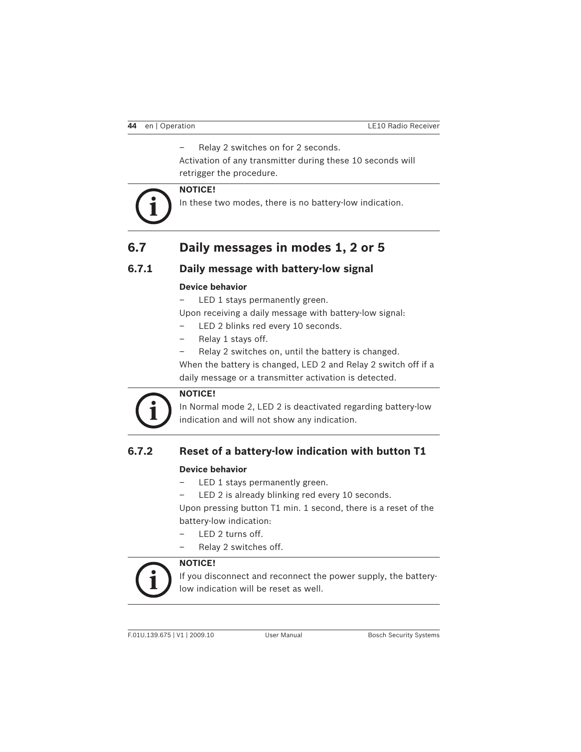– Relay 2 switches on for 2 seconds.

Activation of any transmitter during these 10 seconds will retrigger the procedure.

### **NOTICE!**

In these two modes, there is no battery-low indication.

# **6.7 Daily messages in modes 1, 2 or 5**

### **6.7.1 Daily message with battery-low signal**

#### **Device behavior**

LED 1 stays permanently green.

Upon receiving a daily message with battery-low signal:

- LED 2 blinks red every 10 seconds.
- Relay 1 stays off.
	- Relay 2 switches on, until the battery is changed.

When the battery is changed, LED 2 and Relay 2 switch off if a daily message or a transmitter activation is detected.



In Normal mode 2, LED 2 is deactivated regarding battery-low indication and will not show any indication.

### **6.7.2 Reset of a battery-low indication with button T1**

#### **Device behavior**

- LED 1 stays permanently green.
- LED 2 is already blinking red every 10 seconds.

Upon pressing button T1 min. 1 second, there is a reset of the battery-low indication:

- LED 2 turns off.
- Relay 2 switches off.

#### **NOTICE!**

If you disconnect and reconnect the power supply, the batterylow indication will be reset as well.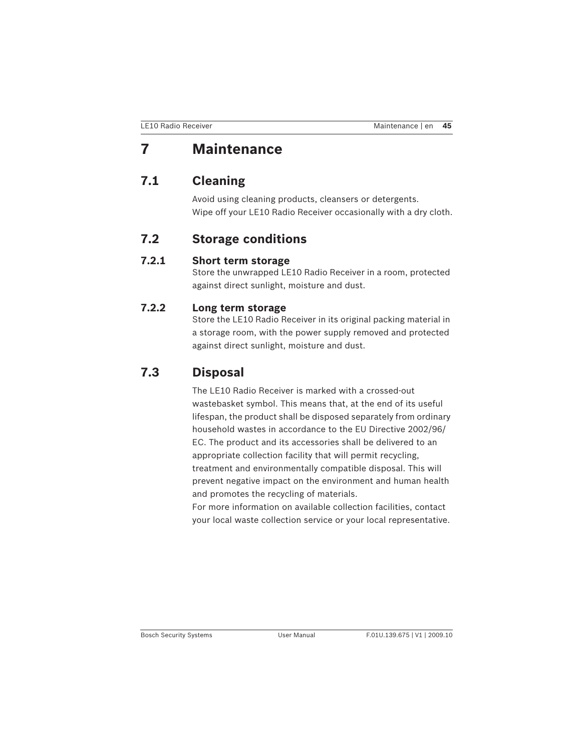# **7 Maintenance**

# **7.1 Cleaning**

Avoid using cleaning products, cleansers or detergents. Wipe off your LE10 Radio Receiver occasionally with a dry cloth.

## **7.2 Storage conditions**

## **7.2.1 Short term storage**

Store the unwrapped LE10 Radio Receiver in a room, protected against direct sunlight, moisture and dust.

## **7.2.2 Long term storage**

Store the LE10 Radio Receiver in its original packing material in a storage room, with the power supply removed and protected against direct sunlight, moisture and dust.

# **7.3 Disposal**

The LE10 Radio Receiver is marked with a crossed-out wastebasket symbol. This means that, at the end of its useful lifespan, the product shall be disposed separately from ordinary household wastes in accordance to the EU Directive 2002/96/ EC. The product and its accessories shall be delivered to an appropriate collection facility that will permit recycling, treatment and environmentally compatible disposal. This will prevent negative impact on the environment and human health and promotes the recycling of materials. For more information on available collection facilities, contact

your local waste collection service or your local representative.